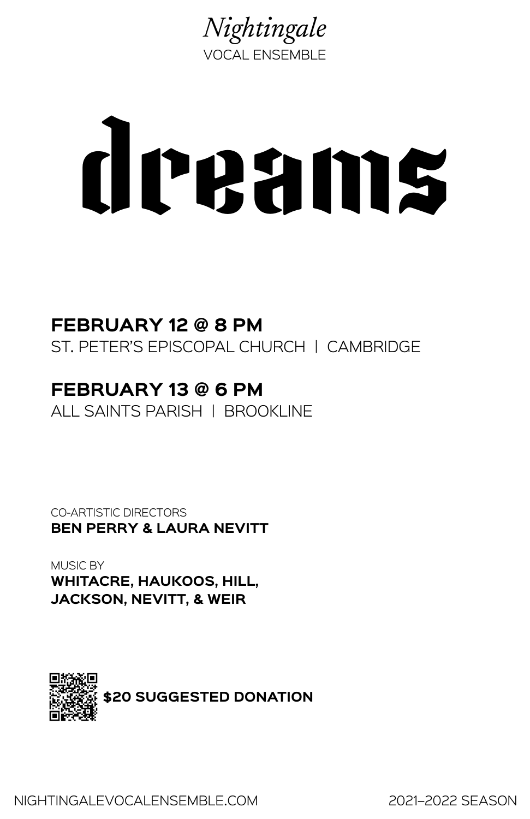# dreams



NIGHTINGALEVOCALENSEMBLE.COM 2021–2022 SEASON



# **FEBRUARY 12 @ 8 PM** ST. PETER'S EPISCOPAL CHURCH | CAMBRIDGE

# **FEBRUARY 13 @ 6 PM**

ALL SAINTS PARISH | BROOKLINE

CO-ARTISTIC DIRECTORS **BEN PERRY & LAURA NEVITT**

MUSIC BY **WHITACRE, HAUKOOS, HILL, JACKSON, NEVITT, & WEIR**

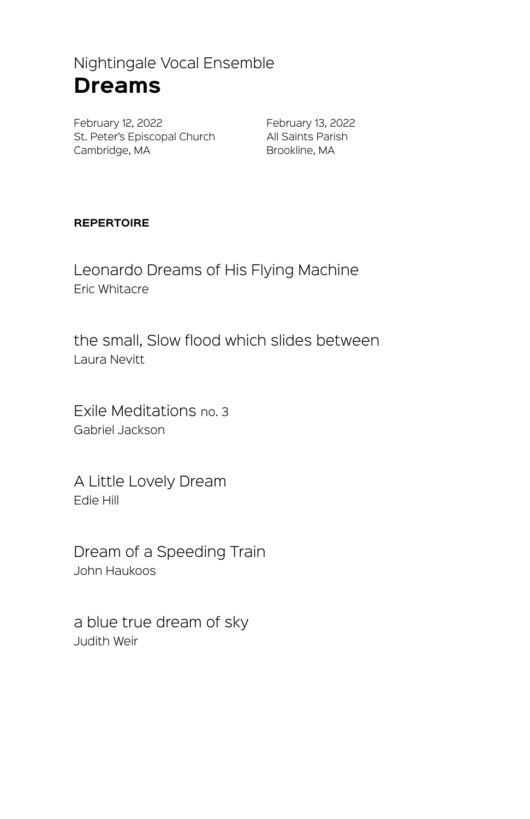# Nightingale Vocal Ensemble **Dreams**

February 12, 2022 <br>
February 13, 2022 St. Peter's Episcopal Church All Saints Parish Cambridge, MA **Brookline**, MA

### **REPERTOIRE**

Leonardo Dreams of His Flying Machine Eric Whitacre

the small, Slow flood which slides between Laura Nevitt

Exile Meditations no. 3 Gabriel Jackson

A Little Lovely Dream Edie Hill

Dream of a Speeding Train John Haukoos

# a blue true dream of sky

Judith Weir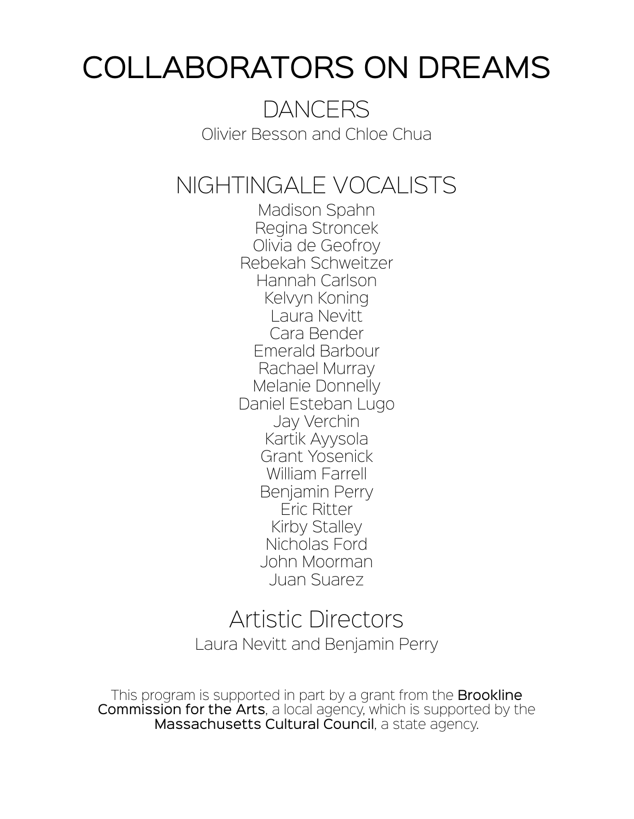# COLLABORATORS ON DREAMS

# DANCERS

Olivier Besson and Chloe Chua

# NIGHTINGALE VOCALISTS

Madison Spahn Regina Stroncek Olivia de Geofroy Rebekah Schweitzer Hannah Carlson Kelvyn Koning Laura Nevitt Cara Bender Emerald Barbour Rachael Murray Melanie Donnelly Daniel Esteban Lugo Jay Verchin Kartik Ayysola Grant Yosenick William Farrell Benjamin Perry Eric Ritter Kirby Stalley Nicholas Ford John Moorman Juan Suarez

# Artistic Directors

Laura Nevitt and Benjamin Perry

This program is supported in part by a grant from the **Brookline** Commission for the Arts, a local agency, which is supported by the Massachusetts Cultural Council, a state agency.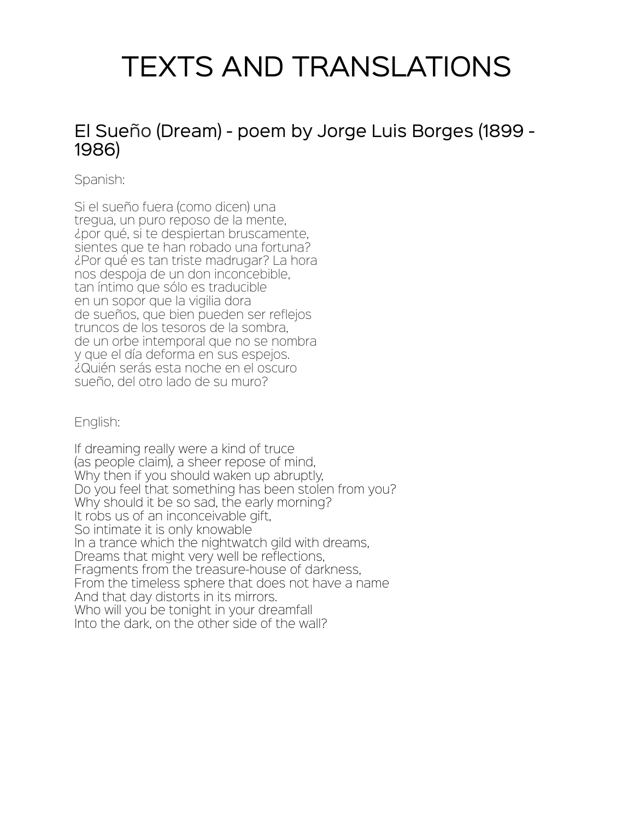# TEXTS AND TRANSLATIONS

### El Sueño (Dream) - poem by Jorge Luis Borges (1899 - 1986)

Spanish:

Si el sueño fuera (como dicen) una tregua, un puro reposo de la mente, ¿por qué, si te despiertan bruscamente, sientes que te han robado una fortuna? ¿Por qué es tan triste madrugar? La hora nos despoja de un don inconcebible, tan íntimo que sólo es traducible en un sopor que la vigilia dora de sueños, que bien pueden ser reflejos truncos de los tesoros de la sombra, de un orbe intemporal que no se nombra y que el día deforma en sus espejos. ¿Quién serás esta noche en el oscuro sueño, del otro lado de su muro?

English:

If dreaming really were a kind of truce (as people claim), a sheer repose of mind, Why then if you should waken up abruptly, Do you feel that something has been stolen from you? Why should it be so sad, the early morning? It robs us of an inconceivable gift, So intimate it is only knowable In a trance which the nightwatch gild with dreams, Dreams that might very well be reflections, Fragments from the treasure-house of darkness, From the timeless sphere that does not have a name And that day distorts in its mirrors. Who will you be tonight in your dreamfall Into the dark, on the other side of the wall?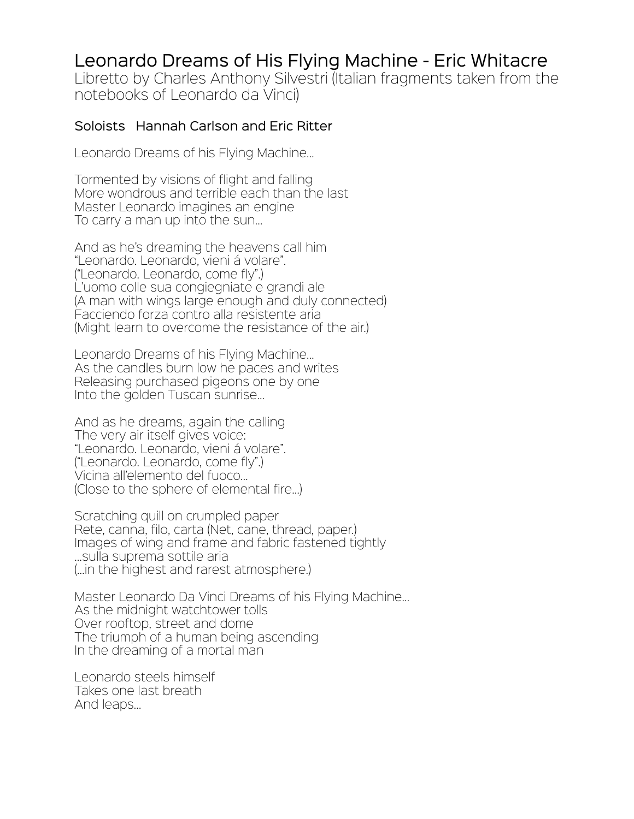### Leonardo Dreams of His Flying Machine - Eric Whitacre

Libretto by Charles Anthony Silvestri (Italian fragments taken from the notebooks of Leonardo da Vinci)

### Soloists Hannah Carlson and Eric Ritter

Leonardo Dreams of his Flying Machine…

Tormented by visions of flight and falling More wondrous and terrible each than the last Master Leonardo imagines an engine To carry a man up into the sun…

And as he's dreaming the heavens call him "Leonardo. Leonardo, vieni á volare". ("Leonardo. Leonardo, come fly".) L'uomo colle sua congiegniate e grandi ale (A man with wings large enough and duly connected) Facciendo forza contro alla resistente aria (Might learn to overcome the resistance of the air.)

Leonardo Dreams of his Flying Machine… As the candles burn low he paces and writes Releasing purchased pigeons one by one Into the golden Tuscan sunrise…

And as he dreams, again the calling The very air itself gives voice: "Leonardo. Leonardo, vieni á volare". ("Leonardo. Leonardo, come fly".) Vicina all'elemento del fuoco… (Close to the sphere of elemental fire…)

Scratching quill on crumpled paper Rete, canna, filo, carta (Net, cane, thread, paper.) Images of wing and frame and fabric fastened tightly …sulla suprema sottile aria (…in the highest and rarest atmosphere.)

Master Leonardo Da Vinci Dreams of his Flying Machine… As the midnight watchtower tolls Over rooftop, street and dome The triumph of a human being ascending In the dreaming of a mortal man

Leonardo steels himself Takes one last breath And leaps…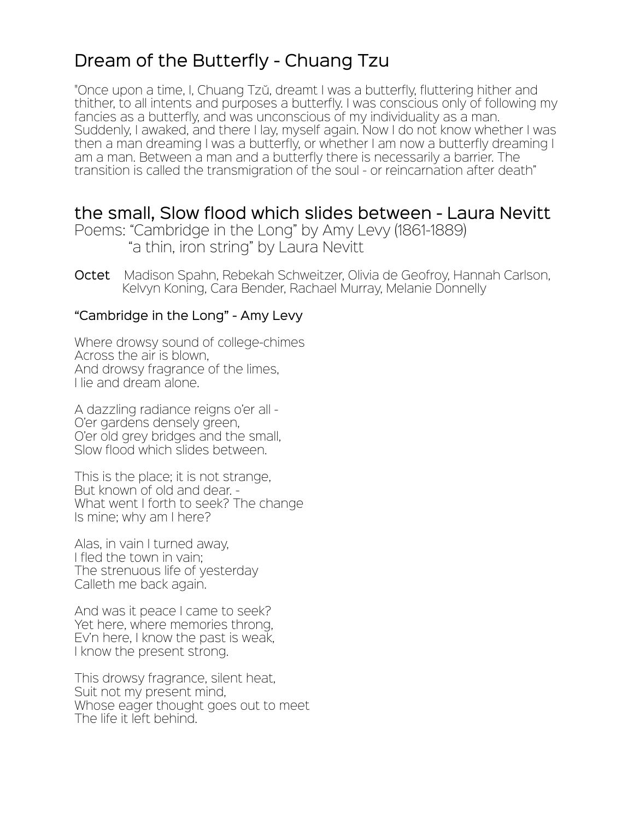### Dream of the Butterfly - Chuang Tzu

"Once upon a time, I, Chuang Tzŭ, dreamt I was a butterfly, fluttering hither and thither, to all intents and purposes a butterfly. I was conscious only of following my fancies as a butterfly, and was unconscious of my individuality as a man. Suddenly, I awaked, and there I lay, myself again. Now I do not know whether I was then a man dreaming I was a butterfly, or whether I am now a butterfly dreaming I am a man. Between a man and a butterfly there is necessarily a barrier. The transition is called the transmigration of the soul - or reincarnation after death"

### the small, Slow flood which slides between - Laura Nevitt

Poems: "Cambridge in the Long" by Amy Levy (1861-1889) "a thin, iron string" by Laura Nevitt

Octet Madison Spahn, Rebekah Schweitzer, Olivia de Geofroy, Hannah Carlson, Kelvyn Koning, Cara Bender, Rachael Murray, Melanie Donnelly

### "Cambridge in the Long" - Amy Levy

Where drowsy sound of college-chimes Across the air is blown, And drowsy fragrance of the limes, I lie and dream alone.

A dazzling radiance reigns o'er all - O'er gardens densely green, O'er old grey bridges and the small, Slow flood which slides between.

This is the place; it is not strange, But known of old and dear. - What went I forth to seek? The change Is mine; why am I here?

Alas, in vain I turned away, I fled the town in vain; The strenuous life of yesterday Calleth me back again.

And was it peace I came to seek? Yet here, where memories throng, Ev'n here, I know the past is weak, I know the present strong.

This drowsy fragrance, silent heat, Suit not my present mind, Whose eager thought goes out to meet The life it left behind.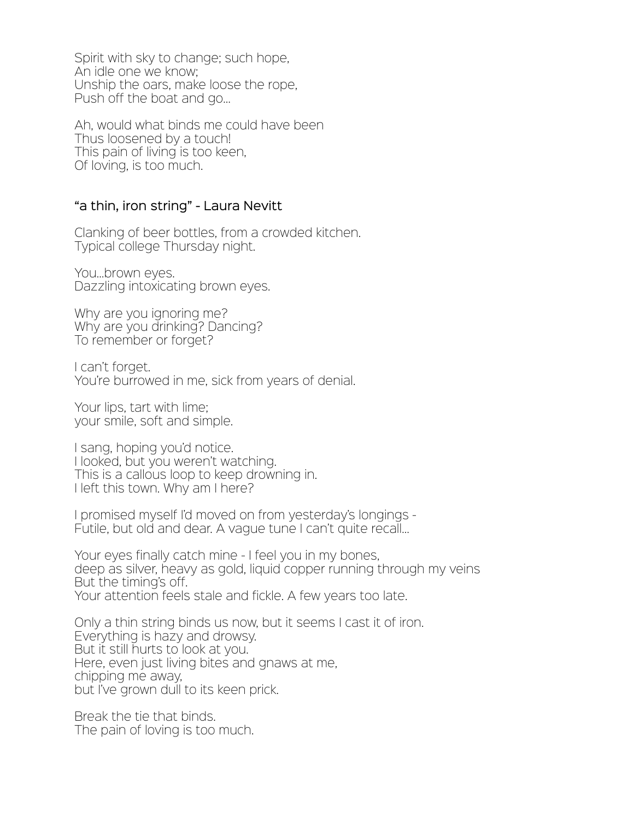Spirit with sky to change; such hope, An idle one we know; Unship the oars, make loose the rope, Push off the boat and go…

Ah, would what binds me could have been Thus loosened by a touch! This pain of living is too keen, Of loving, is too much.

### "a thin, iron string" - Laura Nevitt

Clanking of beer bottles, from a crowded kitchen. Typical college Thursday night.

You…brown eyes. Dazzling intoxicating brown eyes.

Why are you ignoring me? Why are you drinking? Dancing? To remember or forget?

I can't forget. You're burrowed in me, sick from years of denial.

Your lips, tart with lime; your smile, soft and simple.

I sang, hoping you'd notice. I looked, but you weren't watching. This is a callous loop to keep drowning in. I left this town. Why am I here?

I promised myself I'd moved on from yesterday's longings - Futile, but old and dear. A vague tune I can't quite recall…

Your eyes finally catch mine - I feel you in my bones, deep as silver, heavy as gold, liquid copper running through my veins But the timing's off. Your attention feels stale and fickle. A few years too late.

Only a thin string binds us now, but it seems I cast it of iron. Everything is hazy and drowsy. But it still hurts to look at you. Here, even just living bites and gnaws at me, chipping me away, but I've grown dull to its keen prick.

Break the tie that binds. The pain of loving is too much.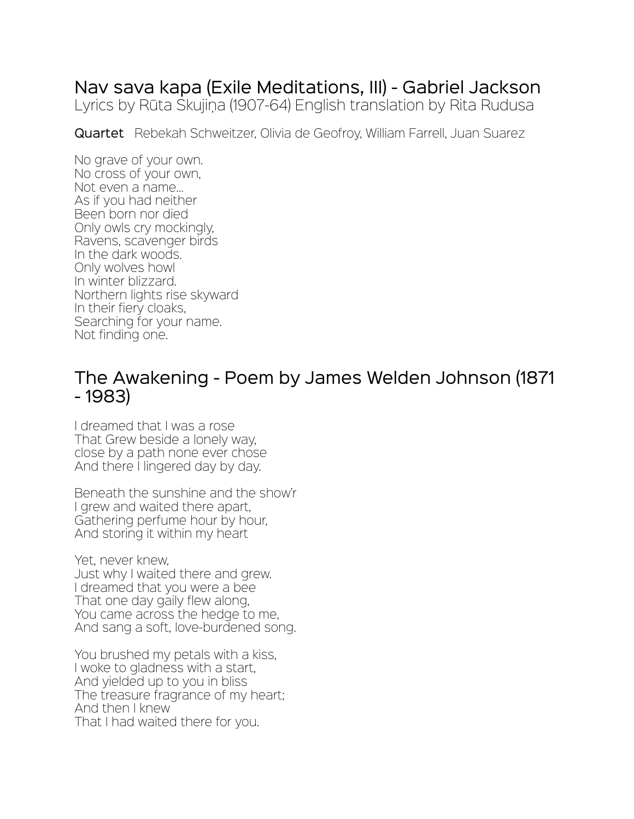### Nav sava kapa (Exile Meditations, III) - Gabriel Jackson

Lyrics by Rūta Skujiņa (1907-64) English translation by Rita Rudusa

Quartet Rebekah Schweitzer, Olivia de Geofroy, William Farrell, Juan Suarez

No grave of your own. No cross of your own, Not even a name… As if you had neither Been born nor died Only owls cry mockingly, Ravens, scavenger birds In the dark woods. Only wolves howl In winter blizzard. Northern lights rise skyward In their fiery cloaks, Searching for your name. Not finding one.

### The Awakening - Poem by James Welden Johnson (1871 - 1983)

I dreamed that I was a rose That Grew beside a lonely way, close by a path none ever chose And there I lingered day by day.

Beneath the sunshine and the show'r I grew and waited there apart, Gathering perfume hour by hour, And storing it within my heart

Yet, never knew, Just why I waited there and grew. I dreamed that you were a bee That one day gaily flew along, You came across the hedge to me, And sang a soft, love-burdened song.

You brushed my petals with a kiss, I woke to gladness with a start, And yielded up to you in bliss The treasure fragrance of my heart; And then I knew That I had waited there for you.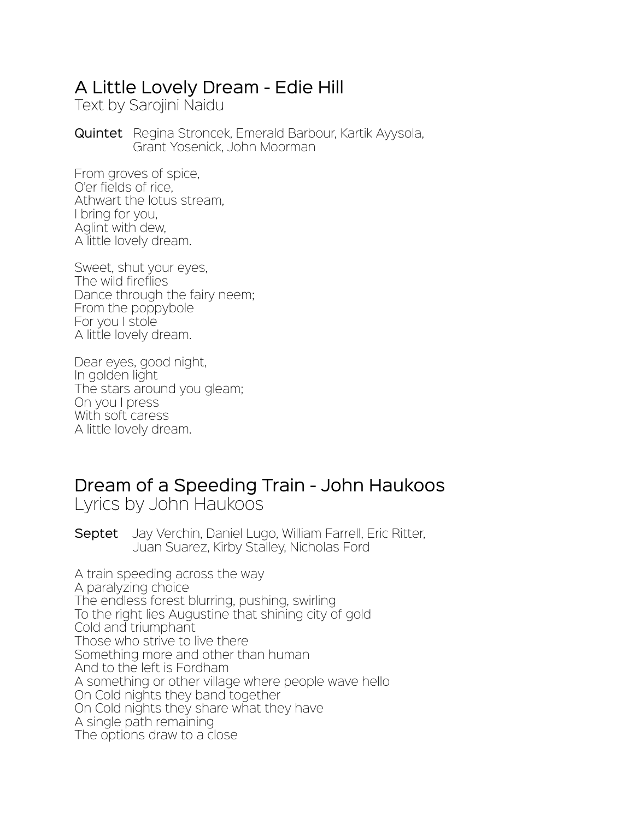### A Little Lovely Dream - Edie Hill

Text by Sarojini Naidu

Quintet Regina Stroncek, Emerald Barbour, Kartik Ayysola, Grant Yosenick, John Moorman

From groves of spice, O'er fields of rice, Athwart the lotus stream, I bring for you, Aglint with dew, A little lovely dream.

Sweet, shut your eyes, The wild fireflies Dance through the fairy neem; From the poppybole For you I stole A little lovely dream.

Dear eyes, good night, In golden light The stars around you gleam; On you I press With soft caress A little lovely dream.

## Dream of a Speeding Train - John Haukoos

Lyrics by John Haukoos

Septet Jay Verchin, Daniel Lugo, William Farrell, Eric Ritter, Juan Suarez, Kirby Stalley, Nicholas Ford

A train speeding across the way A paralyzing choice The endless forest blurring, pushing, swirling To the right lies Augustine that shining city of gold Cold and triumphant Those who strive to live there Something more and other than human And to the left is Fordham A something or other village where people wave hello On Cold nights they band together On Cold nights they share what they have A single path remaining The options draw to a close